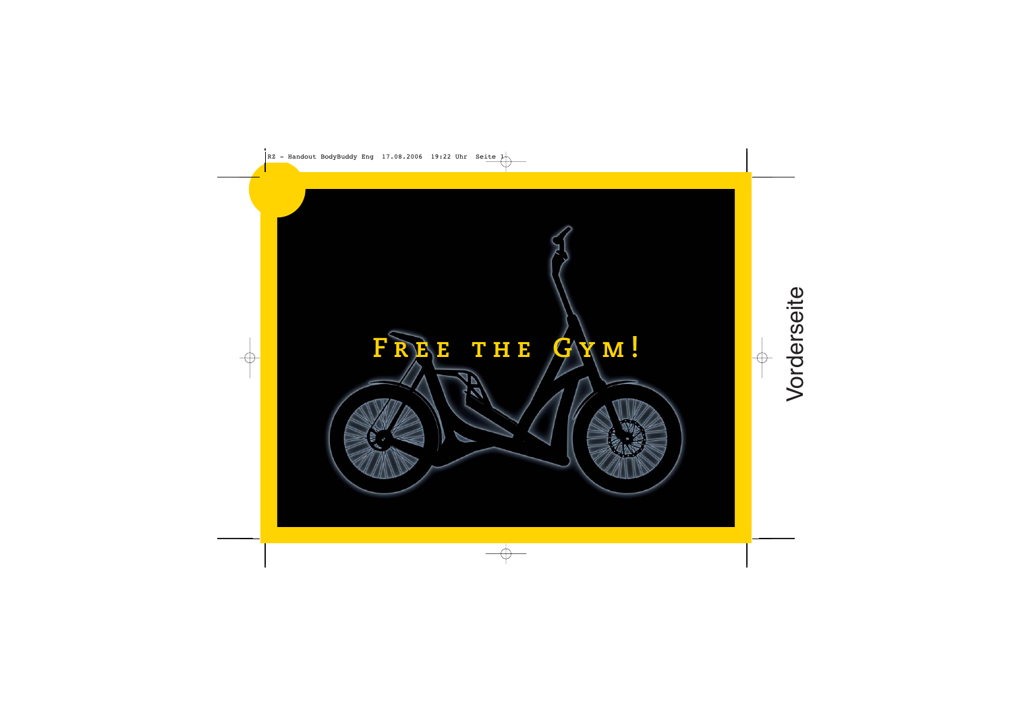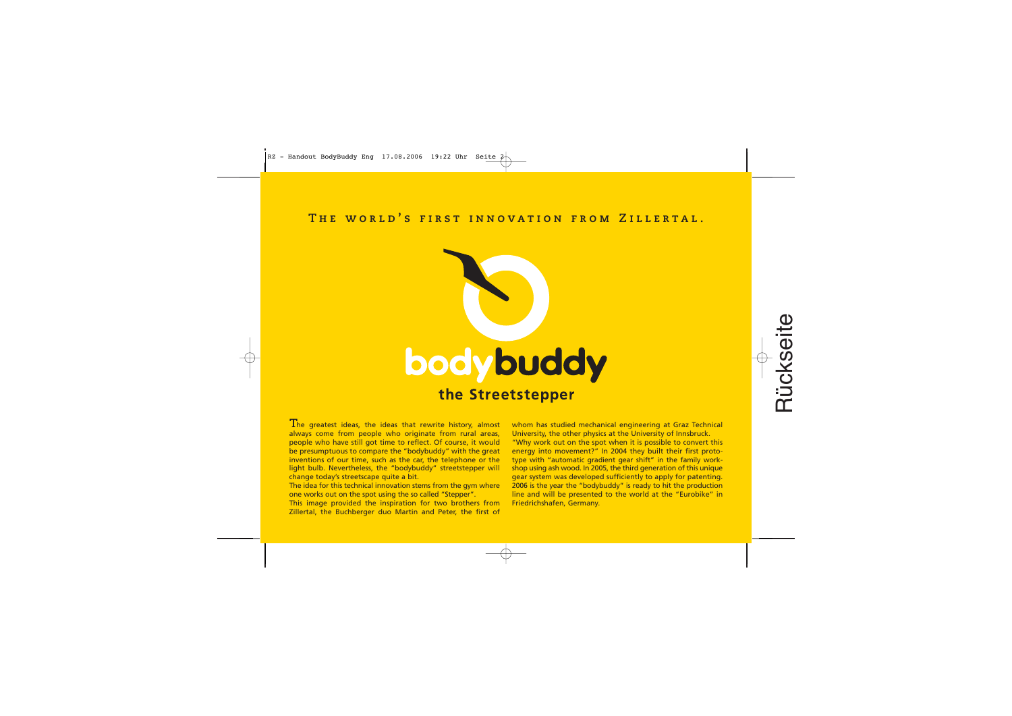# **The world's first innovation from Zillertal.**



he greatest ideas, the ideas that rewrite history, almost **T** always come from people who originate from rural areas, people who have still got time to reflect. Of course, it would be presumptuous to compare the "bodybuddy" with the great inventions of our time, such as the car, the telephone or the light bulb. Nevertheless, the "bodybuddy" streetstepper will change today's streetscape quite a bit.

The idea for this technical innovation stems from the gym where one works out on the spot using the so called "Stepper".

This image provided the inspiration for two brothers from Zillertal, the Buchberger duo Martin and Peter, the first of whom has studied mechanical engineering at Graz Technical University, the other physics at the University of Innsbruck.

"Why work out on the spot when it is possible to convert this energy into movement?" In 2004 they built their first prototype with "automatic gradient gear shift" in the family workshop using ash wood. In 2005, the third generation of this unique gear system was developed sufficiently to apply for patenting. 2006 is the year the "bodybuddy" is ready to hit the production line and will be presented to the world at the "Eurobike" in Friedrichshafen, Germany.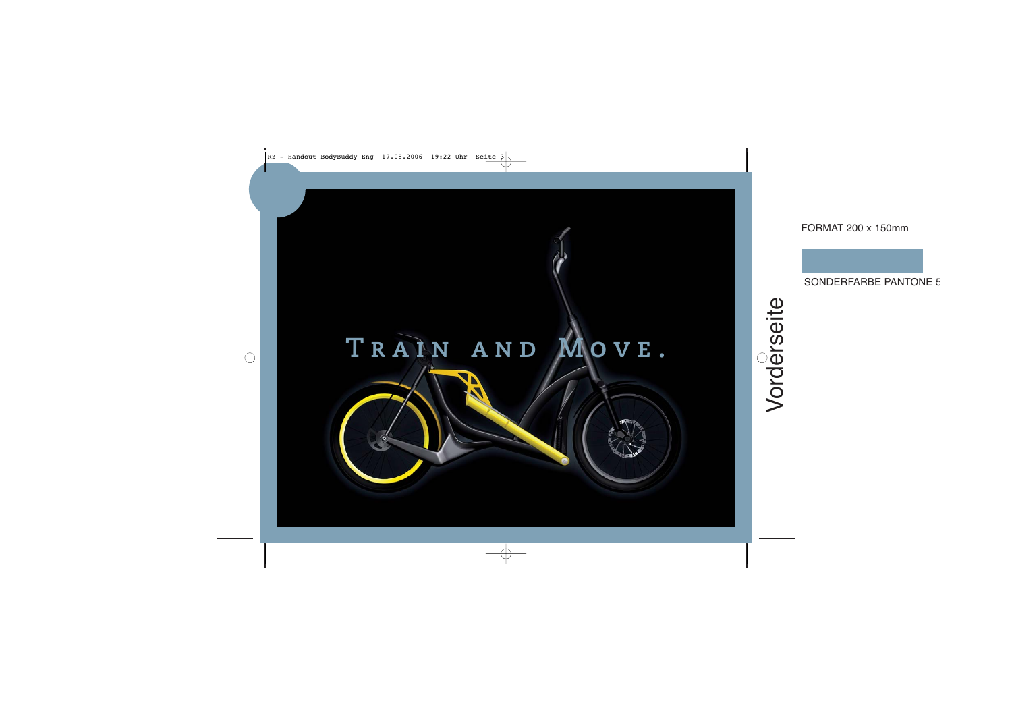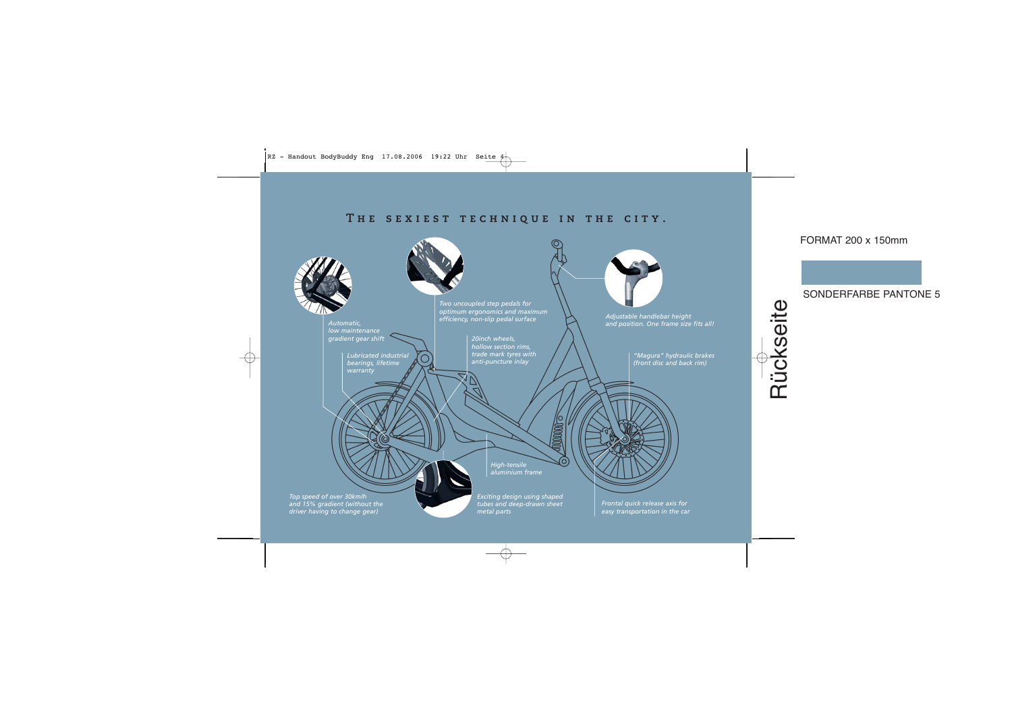# **The sexiest technique in the city.**

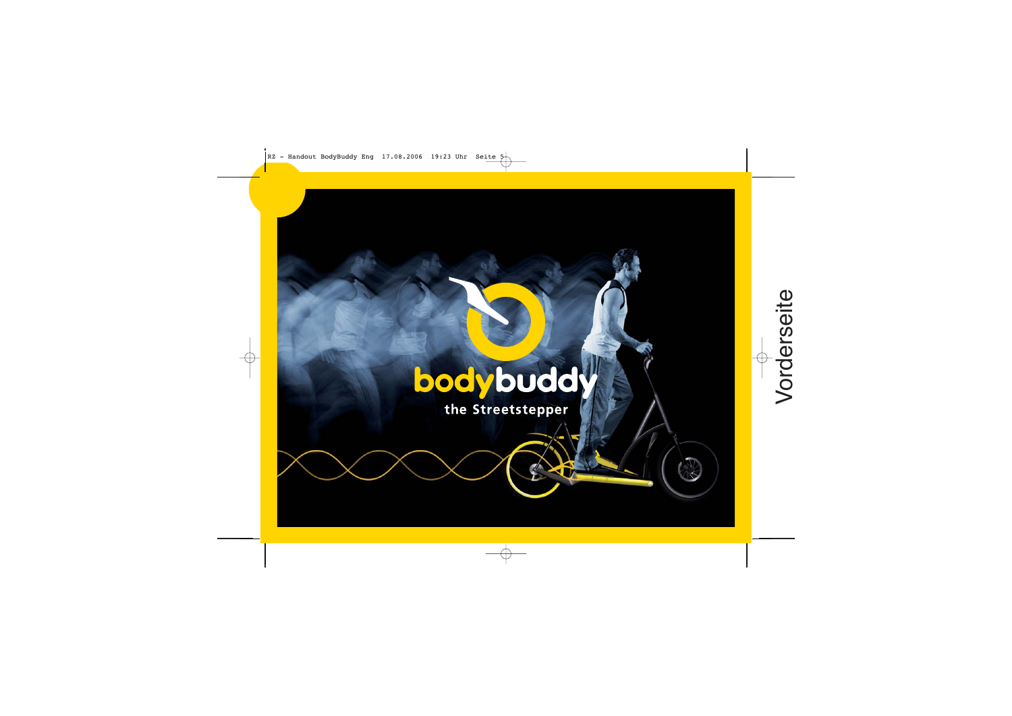# **bodybuddy**<br>the Streetstepper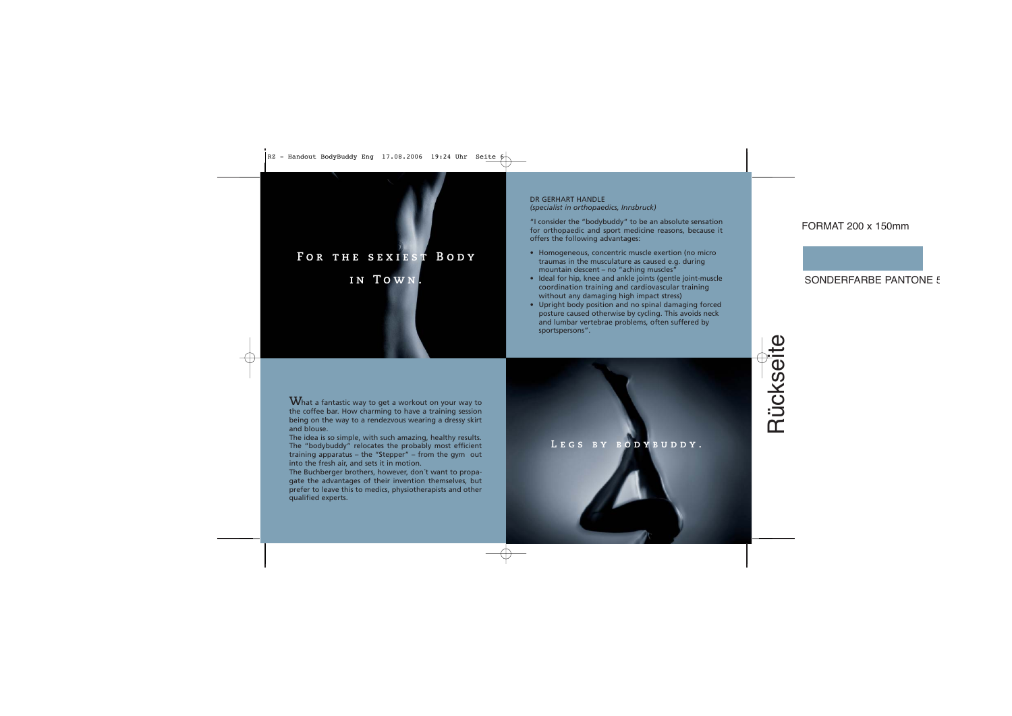# **For the sexiest Body**

# **in Town.**

DR GERHART HANDLE *(specialist in orthopaedics, Innsbruck)*

"I consider the "bodybuddy" to be an absolute sensation for orthopaedic and sport medicine reasons, because it offers the following advantages:

- Homogeneous, concentric muscle exertion (no micro traumas in the musculature as caused e.g. during mountain descent – no "aching muscles"
- Ideal for hip, knee and ankle joints (gentle joint-muscle coordination training and cardiovascular training without any damaging high impact stress)
- Upright body position and no spinal damaging forced posture caused otherwise by cycling. This avoids neck and lumbar vertebrae problems, often suffered by sportspersons".

 $\mathbf{W}$ hat a fantastic way to get a workout on your way to the coffee bar. How charming to have a training session being on the way to a rendezvous wearing a dressy skirt and blouse.

The idea is so simple, with such amazing, healthy results. The "bodybuddy" relocates the probably most efficient training apparatus – the "Stepper" – from the gym out into the fresh air, and sets it in motion.

The Buchberger brothers, however, don´t want to propagate the advantages of their invention themselves, but prefer to leave this to medics, physiotherapists and other qualified experts.

## LEGS BY BODYBUDDY.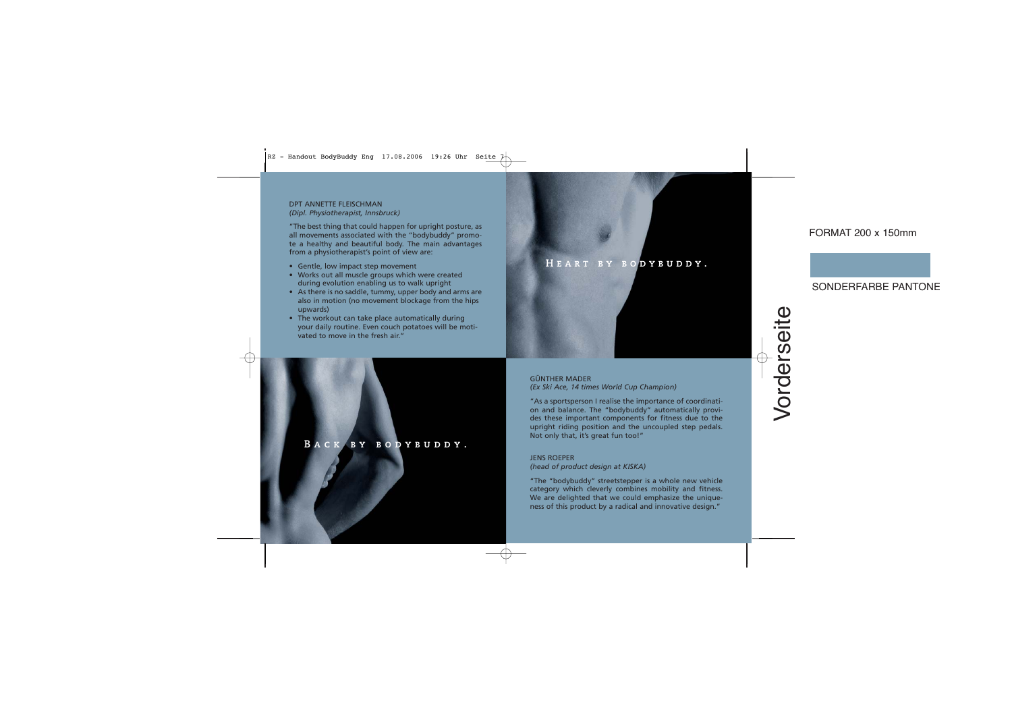### DPT ANNETTE FLEISCHMAN *(Dipl. Physiotherapist, Innsbruck)*

"The best thing that could happen for upright posture, as all movements associated with the "bodybuddy" promote a healthy and beautiful body. The main advantages from a physiotherapist's point of view are:

- Gentle, low impact step movement
- Works out all muscle groups which were created during evolution enabling us to walk upright
- As there is no saddle, tummy, upper body and arms are also in motion (no movement blockage from the hips upwards)
- The workout can take place automatically during your daily routine. Even couch potatoes will be motivated to move in the fresh air."

### **Back by bodybuddy.**

# **Heart by bodybuddy.**

GÜNTHER MADER *(Ex Ski Ace, 14 times World Cup Champion)*

"As a sportsperson I realise the importance of coordination and balance. The "bodybuddy" automatically provides these important components for fitness due to the upright riding position and the uncoupled step pedals. Not only that, it's great fun too!"

### JENS ROEPER

### *(head of product design at KISKA)*

"The "bodybuddy" streetstepper is a whole new vehicle category which cleverly combines mobility and fitness. We are delighted that we could emphasize the uniqueness of this product by a radical and innovative design."